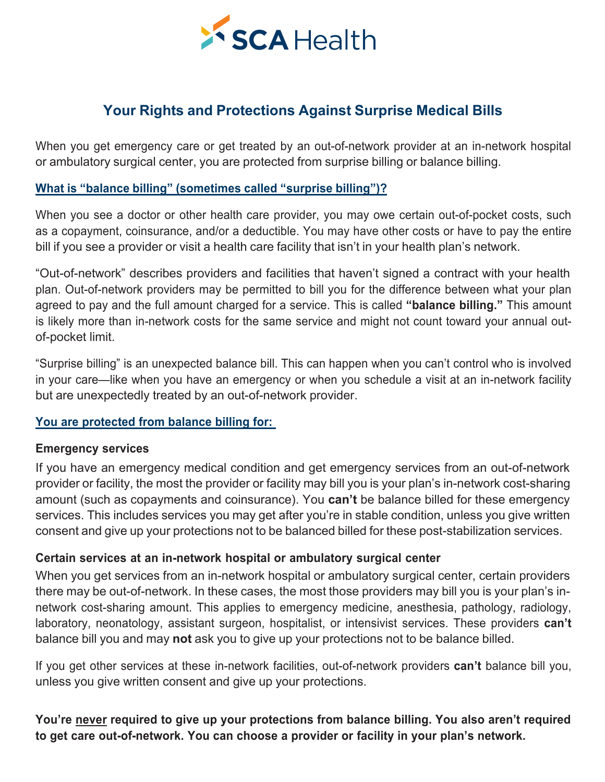

Your Rights and Protections Against Surprise Medical Bills<br>et emergency care or get treated by an out-of-network provider at an in-network hospital<br>y surgical center, you are protected from surprise billing or balance bill Your Rights and Protections Against Surprise Medical Bills<br>When you get emergency care or get treated by an out-of-network provider at an in-network hospital<br>or ambulatory surgical center, you are protected from surprise b **SCA Health**<br>
Your Rights and Protections Against Surprise Medical Bills<br>
When you get emergency care or get treated by an out-of-network provider at an in-network hospital<br>
or ambulatory surgical center, you are protected

Your Rights and Protections Against Surprise Medical Bills<br>When you get emergency care or get treated by an out-of-network provider at an in-network<br>or ambulatory surgical center, you are protected from surprise billing or **SCA Health**<br>
When you get emergency care or get treated by an out-of-network provider at an in-network hospital<br>
or ambulatory surgical center, you are protected from surprise billing or balance billing.<br>
When you see a **Example 19 Consults and Protections Against Surprise Medical Bills**<br>When you get emergency care or get treated by an out-of-network provider at an in-network hospital<br>or ambulatory surgical center, you are protected from **Your Rights and Protections Against Surprise Medical Bills**<br>
When you get emergency care or get treated by an out-of-network provider at an in-network hospital<br>
or ambulatory surgical center, you are protected from surpri

Your Rights and Protections Against Surprise Medical Bills<br>When you get emergency care or get treated by an out-of-network provider at an in-network hospital<br>or ambulatory surgical center, you are protected from surprise b Your Rights and Protections Against Surprise Medical Bills<br>When you get emergency care or get treated by an out-of-network provider at an in-network hospital<br>or ambulatory surgical center, you are protected from surprise b When you get emergency care or get treated by an out-of-network provider at an in-network hospital<br>or ambulatory surgical center, you are protected from surprise billing or balance billing.<br>What is "balance billing" (somet When you get emergency care or get treated by an out-of-network provider at an in-network hospital<br>or ambulatory surgical center, you are protected from surprise billing or balance billing.<br>What is "balance billing" (somet or ambulatory surgical center, you are proted<br>
What is "balance billing" (sometimes called<br>
When you see a doctor or other health care<br>
as a copayment, coinsurance, and/or a deduc<br>
bill if you see a provider or visit a hea What is "balance billing" (sometimes called "surprise billing")?<br>When you see a doctor or other health care provider, you may owe certain out-of-pocket costs, such<br>as a copayment, coinsurance, and/or a deductible. You may When you see a doctor or other health care provider, you may owe certain out-of-pocket costs, such<br>as a copayment, coinsurance, and/or a deductible. You may have other costs or have to pay the entire<br>bill if you see a prov When you see a doctor or other health care provider, you may owe certain out-of-pock<br>as a copayment, coinsurance, and/or a deductible. You may have other costs or have to<br>bill if you see a provider or visit a health care f Fourtier of set a provider or visit a fiead of actility that isn't in your fream<br>
"Out-of-network" describes providers and facilities that haven't signed a c<br>
plan. Out-of-network providers may be permitted to bill you for **EMATA CONTROMA SECTIVES AND ACT AND MANUTE SAMAGE CONTROMATE SURVEY AND AND SURVEY THE SURVEY THE SURVEY SURPT IS USE OF POCKET limit.**<br> **EMATA SURVEY SURPT SURVEY SURVEY SURVEY SURVEY SURVEY SURPT SURVEY SURPT SURVEY SUR** 

plan. Out-of-network providers may be permitted to bill you for the difference between what your plan<br>argreed to pay and the full amount charged for a service. This is called "balance billing." This amount<br>bi-lis likely mo agreed to pay and the full amount charged for a service. This is called "**balance billing**." This amount<br>is likely more than in-network costs for the same service and might not count toward your annual out-<br>of-pocket limit is likely more than in-network costs for the same service and might not count toward your annual out-<br>of-pocket limit.<br>"Surprise billing" is an unexpected balance bill. This can happen when you can't control who is involve of-pocket limit.<br>"Surprise billing" is an unexpected balance bill. This can happen when you can't control who is involved<br>in your care—like when you have an emergency or when you schedule a visit at an in-network facility<br> "Surprise billing" is an unexpected balance bill. This can happen when you can't control who is involved<br>in your care—like when you have an emergency or when you schedule a visit at an in-network facility<br>but are unexpecte **Consume the mannum of the mannum of the mannum of the mannum of the mannum of the mannum of the mannum of the mannum of the mannum of the mannum of the mannum of the mannum of the mannum (such as copayments and coinsuranc** but are unexpectedly treated by an out-or-hetwork provider.<br>
You are protected from balance billing for:<br>
If you have an emergency medical condition and get emergency services from an out-of-network<br>
provider or facility, You are protected from balance billing for:<br>
If you have an emergency medical condition and get emergency services from an out-of-network<br>
If you have an emergency medical condition and get emergency services from an out-o The and protector means of anomy of the mergency services from an out-of-network<br>
frovider or facility, the most the provider or facility may bill you is your plan's in-network cost-sharing<br>
amount (such as copayments and **Emergency services**<br>If you have an emergency medical condition and get emergency services from an out-of-network<br>provider or facility, the most the provider or facility may bill you is your plan's in-network cost-sharing<br> If you have an emergency medical condition and get emergency services from an out-of-network<br>provider or facility, the most the provider or facility may bill you is your plan's in-network cost-sharing<br>amount (such as copay

provide or racinity, ite most tre provider or aciding may but you is your parts in-riewow. Cost-strating<br>amount (such as copayments and coinsurance). You can't be balance billed for these emergency<br>services. This includes amount (such as copayments and consurance). Tou can't be balance billed for these services. This includes services you may get after you're in stable condition, unless y<br>consent and give up your protections not to be balan **Certain services at an in-network hospital or ambulatory surgical center**<br>When you get services from an in-network hospital or ambulatory surgical center, certain providers<br>there may be out-of-network. In these cases, the **to the symbol symbol symbol symbol symbol symbol symbol symbol symbol symbol symbol symbol symbol symbol symbol symbol symbol symbol symbol symbol symbol symbol symptom an in-network hospital or ambulatory surgical center**